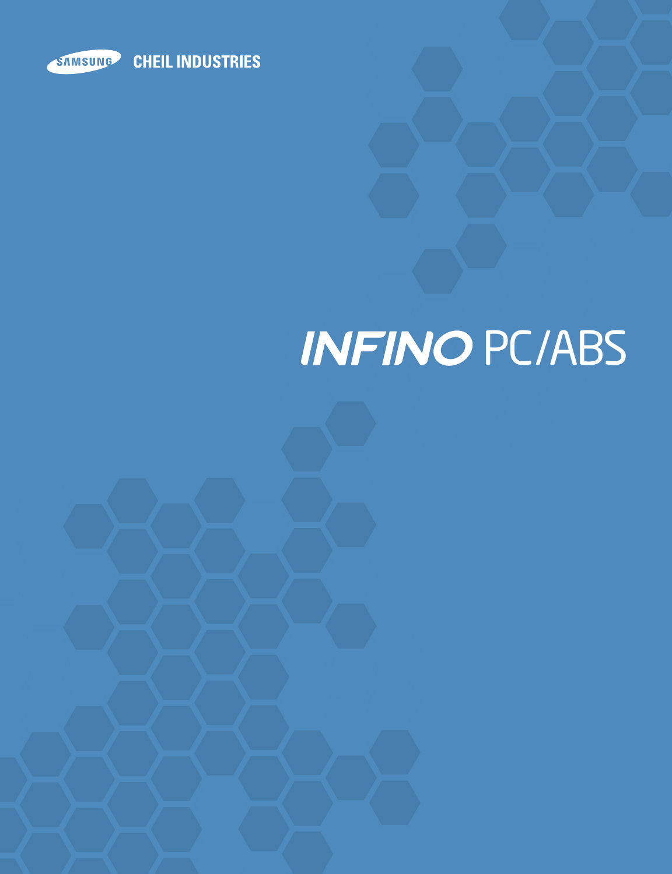

# **INFINO PC/ABS**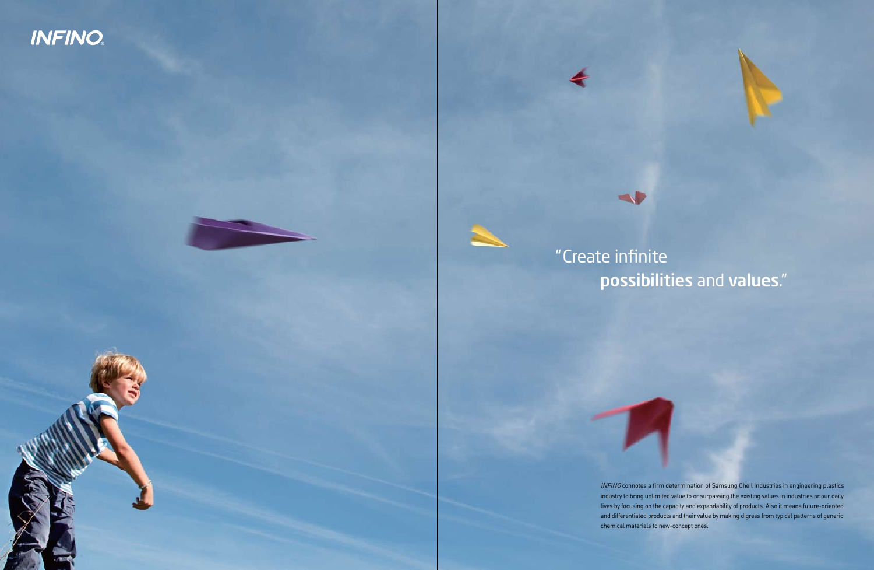INFINO connotes a firm determination of Samsung Cheil Industries in engineering plastics industry to bring unlimited value to or surpassing the existing values in industries or our daily lives by focusing on the capacity and expandability of products. Also it means future-oriented and differentiated products and their value by making digress from typical patterns of generic chemical materials to new-concept ones.

# **INFINO**



# possibilities and values."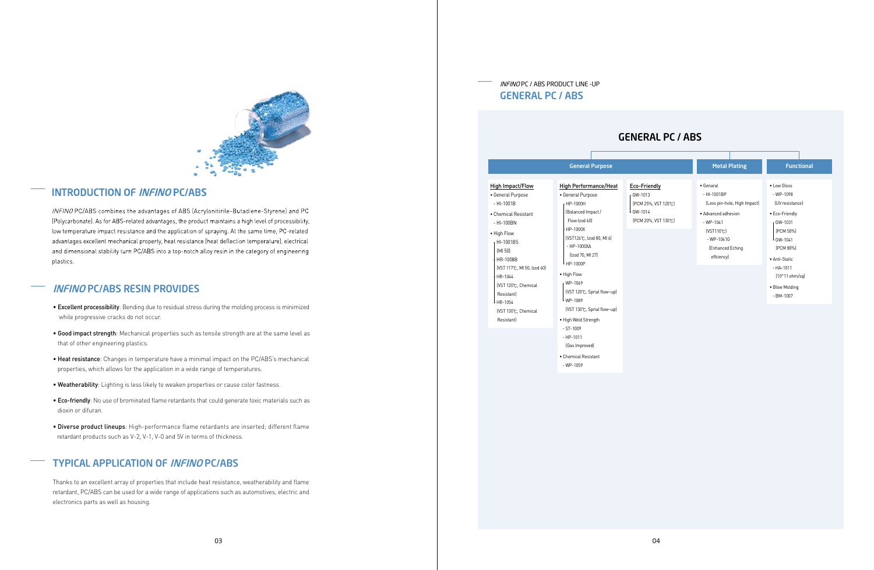

# **INTRODUCTION OF INFINO PC/ABS**

INFINO PC/ABS combines the advantages of ABS (Acrylonitirile-Butadiene-Styrene) and PC (Polycarbonate). As for ABS-related advantages, the product maintains a high level of processibility, low temperature impact resistance and the application of spraying. At the same time, PC-related advantages excellent mechanical property, heat resistance (heat deflection temperature), electrical and dimensional stability turn PC/ABS into a top-notch alloy resin in the category of engineering plastics.

## TYPICAL APPLICATION OF INFINO PC/ABS

Thanks to an excellent array of properties that include heat resistance, weatherability and flame retardant, PC/ABS can be used for a wide range of applications such as automotives, electric and electronics parts as well as housing.

# INFINO PC/ABS RESIN PROVIDES

- Excellent processibility: Bending due to residual stress during the molding process is minimized while progressive cracks do not occur.
- Good impact strength: Mechanical properties such as tensile strength are at the same level as that of other engineering plastics.
- Heat resistance: Changes in temperature have a minimal impact on the PC/ABS's mechanical properties, which allows for the application in a wide range of temperatures.
- Weatherability: Lighting is less likely to weaken properties or cause color fastness.
- Eco-friendly: No use of brominated flame retardants that could generate toxic materials such as dioxin or difuran.
- Diverse product lineups: High-performance flame retardants are inserted; different flame retardant products such as V-2, V-1, V-0 and 5V in terms of thickness.

### INFINO PC / ABS PRODUCT LINE -UP GENERAL PC / ABS

|                                                                                                                                                                                                                                                                                             | <b>General Purpose</b>                                                                                                                                                                                                                                                                                                       |                                    |
|---------------------------------------------------------------------------------------------------------------------------------------------------------------------------------------------------------------------------------------------------------------------------------------------|------------------------------------------------------------------------------------------------------------------------------------------------------------------------------------------------------------------------------------------------------------------------------------------------------------------------------|------------------------------------|
| <b>High Impact/Flow</b><br>• General Purpose<br>$-HI-1001B$<br>• Chemical Resistant<br>- HI-100BN<br>• High Flow<br>HI-1001BS<br>(MI 50)<br><b>HR-1008B</b><br>(VST 117℃, MI 50, Izod 60)<br>- HR-1044<br>(VST 120℃, Chemical<br>Resistantl<br>HR-1054<br>(VST 130℃, Chemical<br>Resistantl | <b>High Performance/Heat</b><br>• General Purpose<br>HP-1000H<br>(Balanced Impact /<br>Flow Izod 60]<br>- HP-1000X<br>[VST126℃, Izod 80, MI 6]<br>$-$ HP-1000XA<br>(Izod 70, MI 27)<br>L HP-1000P<br>• High Flow<br>WP-1069<br>(VST 120℃, Sprial flow~up)<br>L WP-1089<br>(VST 130℃, Sprial flow~up)<br>• High Weld Strength | Eco-<br>GW-<br>(PC)<br>GW-<br>(PC) |
|                                                                                                                                                                                                                                                                                             | $-ST-1009$<br>$-$ HP $-$ 1011<br>(Gas Improved)<br>• Chemical Resistant<br>$- WP-1059$                                                                                                                                                                                                                                       |                                    |



# GENERAL PC / ABS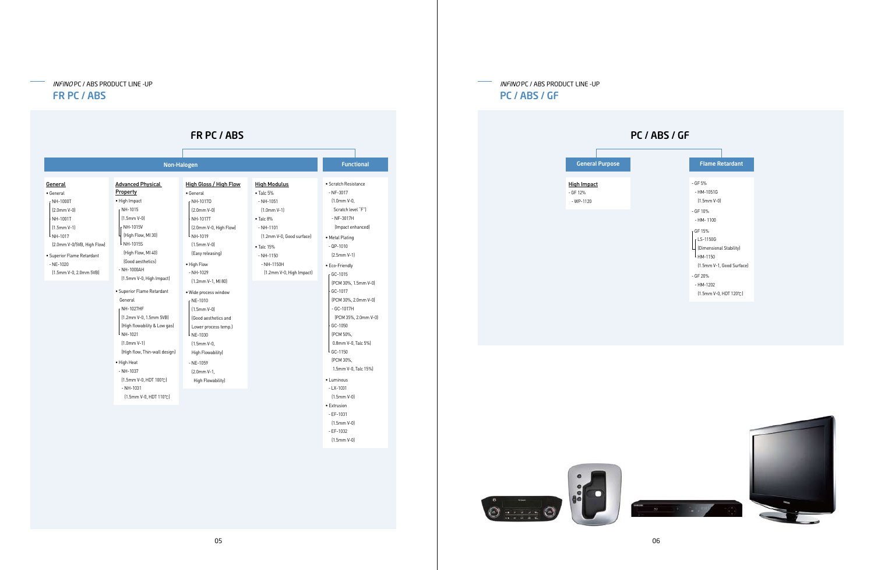



INFINO PC / ABS PRODUCT LINE -UP PC / ABS / GF

### INFINO PC / ABS PRODUCT LINE -UP FR PC / ABS

#### **General** • General - NH-1000T (2.0mm V-0) - NH-1001T (1.5mm V-1)  $L_{NH-1017}$  (2.0mm V-0/5VB, High Flow) • Superior Flame Retardant - NE-1020 (1.5mm V-0, 2.0mm 5VB) Advanced Physical Property • High Impact  $r$  NH-1015 (1.5mm V-0)  $\vert$ <sub>r</sub> NH-1015V  $\Pi$  (High Flow, MI 30)  $\lfloor$  NH-1015S (High Flow, MI 40) (Good aesthetics) - NH-1000AH (1.5mm V-0, High Impact) • Superior Flame Retardant General - NH-1027HF (1.2mm V-0, 1.5mm 5VB) (High flowability & Low gas)  $^{\mathsf{L}}$  NH-1021 (1.0mm V-1) (High flow, Thin-wall design) • High Heat - NH-1037 (1.5mm V-0, HDT 100℃) - NH-1031 (1.5mm V-0, HDT 110℃) High Gloss / High Flow • General - NH-1017D (2.0mm V-0) - NH-1017T (2.0mm V-0, High Flow)  $L_{NH-1019}$  (1.5mm V-0) (Easy releasing) • High Flow - NH-1029 (1.2mm V-1, MI 80) • Wide process window  $r$  NE-1010  $(1.5$ mm V-0) (Good aesthetics and Lower process temp.)  $\lfloor$  NE-1030 (1.5mm V-0, High Flowability) - NE-1059 (2.0mm V-1, High Flowability) High Modulus • Talc 5% - NH-1051 (1.0mm V-1) • Talc 8% - NH-1101 (1.2mm V-0, Good surface) • Talc 15% - NH-1150 - NH-1150H (1.2mm V-0, High Impact) • Scratch Resistance - NF-3017 (1.0mm V-0, Scratch level "F") - NF-3017H (Impact enhanced) • Metal Plating - QP-1010 (2.5mm V-1) • Eco-Friendly - GC-1015 (PCM 30%, 1.5mm V-0)  $\frac{1}{2}$  GC-1017 (PCM 30%, 2.0mm V-0) - GC-1017H (PCM 35%, 2.0mm V-0)  $-$  GC-1050 (PCM 50%, 0.8mm V-0, Talc 5%)  $\lfloor$  GC-1150 (PCM 30%, 1.5mm V-0, Talc 15%) • Luminous - LX-1031 (1.5mm V-0) • Extrusion - EF-1031 (1.5mm V-0) - EF-1032 Non-Halogen FR PC / ABS **Functional**

(1.5mm V-0)



 $\label{eq:1} \mathbf{M} = \mathbf{M} \mathbf{M} = \mathbf{M} \mathbf{M} = \mathbf{M} \mathbf{M} \mathbf{M}$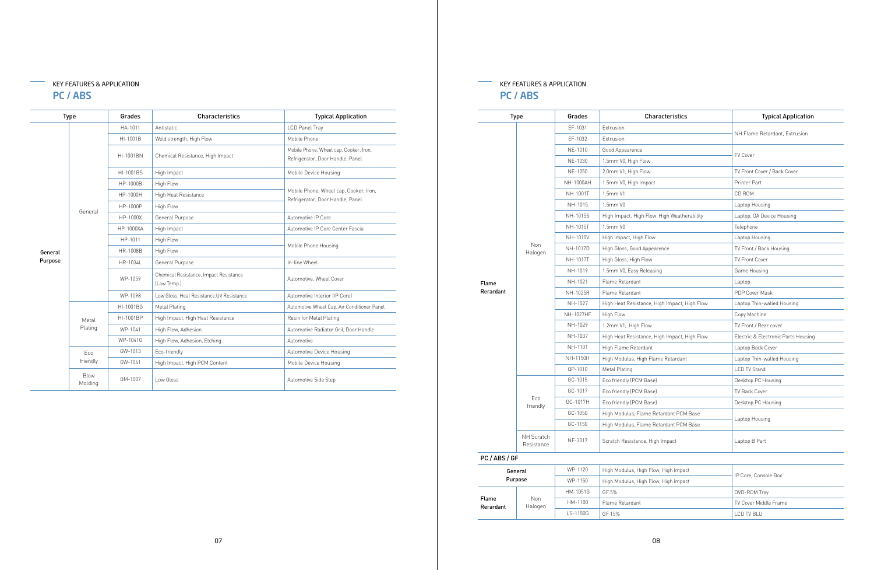|         | <b>Type</b>            | Grades           | <b>Characteristics</b>                                | <b>Typical Application</b>                                                 |
|---------|------------------------|------------------|-------------------------------------------------------|----------------------------------------------------------------------------|
|         |                        | HA-1011          | Antistatic                                            | LCD Panel Tray                                                             |
|         |                        | HI-1001B         | Weld strength, High Flow                              | Mobile Phone                                                               |
|         |                        | HI-1001BN        | Chemical Resistance, High Impact                      | Mobile Phone, Wheel cap, Cooker, Iron,<br>Refrigerator, Door Handle, Panel |
|         |                        | HI-1001BS        | High Impact                                           | Mobile Device Housing                                                      |
|         |                        | HP-1000B         | High Flow                                             |                                                                            |
|         |                        | HP-1000H         | High Heat Resistance                                  | Mobile Phone, Wheel cap, Cooker, Iron,<br>Refrigerator, Door Handle, Panel |
|         | General                | HP-1000P         | High Flow                                             |                                                                            |
|         |                        | HP-1000X         | General Purpose                                       | Automotive IP Core                                                         |
|         |                        | <b>HP-1000XA</b> | High Impact                                           | Automotive IP Core Center Fascia                                           |
|         |                        | HP-1011          | High Flow                                             | Mobile Phone Housing                                                       |
| General |                        | HR-1008B         | High Flow                                             |                                                                            |
| Purpose |                        | HR-1034L         | General Purpose                                       | In-line Wheel                                                              |
|         |                        | WP-1059          | Chemical Resistance, Impact Resistance<br>(Low Temp.) | Automotive, Wheel Cover                                                    |
|         |                        | WP-1098          | Low Gloss, Heat Resistance, UV Resistance             | Automotive Interior (IP Core)                                              |
|         |                        | HI-1001BG        | Metal Plating                                         | Automotive Wheel Cap, Air Conditioner Panel                                |
|         | Metal                  | HI-1001BP        | High Impact, High Heat Resistance                     | Resin for Metal Plating                                                    |
|         | Plating                | WP-1041          | High Flow, Adhesion                                   | Automotive Radiator Gril, Door Handle                                      |
|         |                        | WP-1041G         | High Flow, Adhesion, Etching                          | Automotive                                                                 |
|         | Eco                    | GW-1013          | Eco-friendly                                          | Automotive Device Housing                                                  |
|         | friendly               | GW-1041          | High Impact, High PCM Content                         | Mobile Device Housing                                                      |
|         | <b>Blow</b><br>Molding | BM-1007          | Low Gloss                                             | Automotive Side Step                                                       |

# KEY FEATURES & APPLICATION PC / ABS

#### KEY FEATURES & APPLICATION  $\frac{\partial \mathbf{u}}{\partial \mathbf{u}}$ PC / ABS

|           | <b>Type</b>              | Grades    | Characteristics                              | <b>Typical Application</b>          |
|-----------|--------------------------|-----------|----------------------------------------------|-------------------------------------|
|           |                          | EF-1031   | <b>Extrusion</b>                             |                                     |
|           |                          | EF-1032   | Extrusion                                    | NH Flame Retardant, Extrusion       |
|           |                          | NE-1010   | Good Appearence                              |                                     |
|           |                          | NE-1030   | 1.5mm V0, High Flow                          | TV Cover                            |
|           |                          | NE-1050   | 2.0mm V1, High Flow                          | TV Front Cover / Back Cover         |
|           |                          | NH-1000AH | 1.5mm V0, High Impact                        | Printer Part                        |
|           |                          | NH-1001T  | 1.5mm V1                                     | CD ROM                              |
|           |                          | NH-1015   | 1.5mm V0                                     | Laptop Housing                      |
|           |                          | NH-1015S  | High Impact, High Flow, High Weatherability  | Laptop, OA Device Housing           |
|           |                          | NH-1015T  | 1.5mm V0                                     | Telephone                           |
|           |                          | NH-1015V  | High Impact, High Flow                       | Laptop Housing                      |
|           | Non                      | NH-1017D  | High Gloss, Good Appearence                  | TV Front / Back Housing             |
|           | Halogen                  | NH-1017T  | High Gloss, High Flow                        | <b>TV Front Cover</b>               |
|           |                          | NH-1019   | 1.5mm V0, Easy Releasing                     | Game Housing                        |
| Flame     |                          | NH-1021   | Flame Retardant                              | Laptop                              |
| Rerardant |                          | NH-1025R  | Flame Retardant                              | PDP Cover Mask                      |
|           |                          | NH-1027   | High Heat Resistance, High Impact, High Flow | Laptop Thin-walled Housing          |
|           |                          | NH-1027HF | High Flow                                    | Copy Machine                        |
|           |                          | NH-1029   | 1.2mm V1, High Flow                          | TV Front / Rear cover               |
|           |                          | NH-1037   | High Heat Resistance, High Impact, High Flow | Electric & Electronic Parts Housing |
|           |                          | NH-1101   | High Flame Retardant                         | Laptop Back Cover                   |
|           |                          | NH-1150H  | High Modulus, High Flame Retardant           | Laptop Thin-walled Housing          |
|           |                          | QP-1010   | Metal Plating                                | <b>LED TV Stand</b>                 |
|           |                          | GC-1015   | Eco friendly (PCM Base)                      | Desktop PC Housing                  |
|           |                          | GC-1017   | Eco friendly (PCM Base)                      | TV Back Cover                       |
|           | Eco                      | GC-1017H  | Eco friendly (PCM Base)                      | Desktop PC Housing                  |
|           | friendly                 | GC-1050   | High Modulus, Flame Retardant PCM Base       |                                     |
|           |                          | GC-1150   | High Modulus, Flame Retardant PCM Base       | Laptop Housing                      |
|           | NH Scratch<br>Resistance | NF-3017   | Scratch Resistance, High Impact              | Laptop B Part                       |
| PC/ABS/GF |                          |           |                                              |                                     |
|           | General                  | WP-1120   | High Modulus, High Flow, High Impact         |                                     |
|           | Purpose                  | WP-1150   | High Modulus, High Flow, High Impact         | IP Core, Console Box                |
|           |                          | HM-1051G  | GF 5%                                        | DVD-ROM Tray                        |
| Flame     | Non                      | HM-1100   | Flame Retardant                              | TV Cover Middle Frame               |
| Rerardant | Halogen                  |           |                                              |                                     |

| ר Flow, High Impact |                       |  |  |  |  |  |
|---------------------|-----------------------|--|--|--|--|--|
| n Flow, High Impact | IP Core, Console Box  |  |  |  |  |  |
|                     | DVD-ROM Tray          |  |  |  |  |  |
|                     | TV Cover Middle Frame |  |  |  |  |  |
|                     | <b>I CD TV BI U</b>   |  |  |  |  |  |
|                     |                       |  |  |  |  |  |

 $LS-1150G$  GF 15%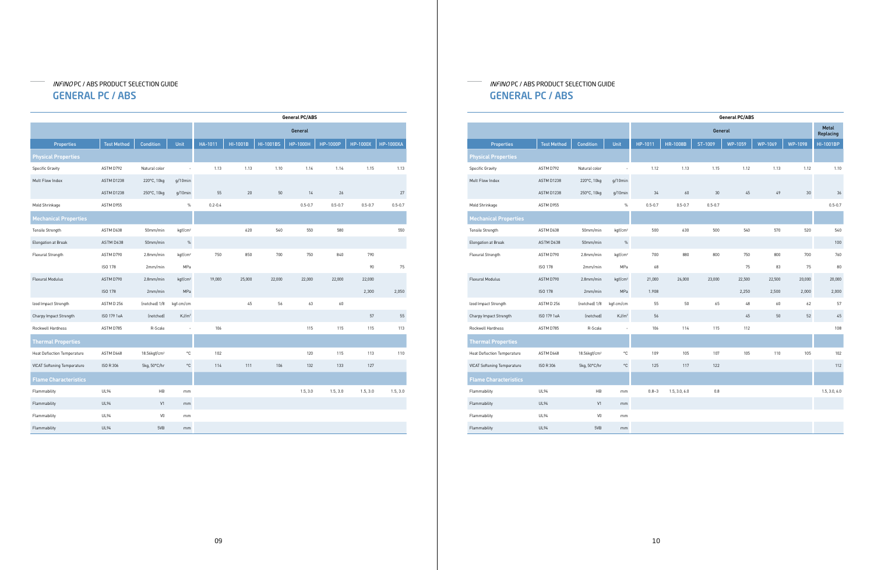# INFINO PC / ABS PRODUCT SELECTION GUIDE GENERAL PC / ABS

# INFINO PC / ABS PRODUCT SELECTION GUIDE GENERAL PC / ABS

|                                    |                    |                          |                     |             |          |                  | <b>General PC/ABS</b> |             |                 |                  |
|------------------------------------|--------------------|--------------------------|---------------------|-------------|----------|------------------|-----------------------|-------------|-----------------|------------------|
|                                    |                    |                          |                     |             |          |                  | General               |             |                 |                  |
| <b>Properties</b>                  | <b>Test Method</b> | <b>Condition</b>         | Unit                | HA-1011     | HI-1001B | <b>HI-1001BS</b> | <b>HP-1000H</b>       | HP-1000P    | <b>HP-1000X</b> | <b>HP-1000XA</b> |
| <b>Physical Properties</b>         |                    |                          |                     |             |          |                  |                       |             |                 |                  |
| <b>Specific Gravity</b>            | ASTM D792          | Natural color            |                     | 1.13        | 1.13     | 1.10             | 1.14                  | 1.14        | 1.15            | 1.13             |
| Melt Flow Index                    | ASTM D1238         | 220°C, 10kg              | $q/10$ min          |             |          |                  |                       |             |                 |                  |
|                                    | ASTM D1238         | 250°C, 10kg              | g/10min             | 55          | 20       | 50               | 14                    | 26          |                 | 27               |
| Mold Shrinkage                     | ASTM D955          |                          | $\%$                | $0.2 - 0.4$ |          |                  | $0.5 - 0.7$           | $0.5 - 0.7$ | $0.5 - 0.7$     | $0.5 - 0.7$      |
| <b>Mechanical Properties</b>       |                    |                          |                     |             |          |                  |                       |             |                 |                  |
| Tensile Strength                   | ASTM D638          | 50mm/min                 | kgf/cm <sup>2</sup> |             | 620      | 540              | 550                   | 580         |                 | 550              |
| Elongation at Break                | ASTM D638          | 50mm/min                 | $\%$                |             |          |                  |                       |             |                 |                  |
| Flexural Strength                  | ASTM D790          | 2.8mm/min                | kqf/cm <sup>2</sup> | 750         | 850      | 700              | 750                   | 840         | 790             |                  |
|                                    | ISO 178            | 2mm/min                  | MPa                 |             |          |                  |                       |             | 90              | 75               |
| Flexural Modulus                   | ASTM D790          | 2.8mm/min                | kqf/cm <sup>2</sup> | 19,000      | 25,000   | 22,000           | 22,000                | 22,000      | 22,000          |                  |
|                                    | <b>ISO 178</b>     | 2mm/min                  | MPa                 |             |          |                  |                       |             | 2,300           | 2,050            |
| Izod Impact Strength               | ASTM D 256         | (notched) 1/8            | kgf-cm/cm           |             | 45       | 56               | 63                    | 60          |                 |                  |
| Charpy Impact Strength             | ISO 179 1eA        | (notched)                | KJ/m <sup>2</sup>   |             |          |                  |                       |             | 57              | 55               |
| Rockwell Hardness                  | ASTM D785          | R-Scale                  | $\sim$              | 106         |          |                  | 115                   | 115         | 115             | 113              |
| <b>Thermal Properties</b>          |                    |                          |                     |             |          |                  |                       |             |                 |                  |
| <b>Heat Deflection Temperature</b> | ASTM D648          | 18.56kgf/cm <sup>2</sup> | °C                  | 102         |          |                  | 120                   | 115         | 113             | 110              |
| <b>VICAT Softening Temperature</b> | ISO R 306          | 5kg, 50°C/hr             | °C                  | 114         | 111      | 106              | 132                   | 133         | 127             |                  |
| <b>Flame Characteristics</b>       |                    |                          |                     |             |          |                  |                       |             |                 |                  |
| Flammability                       | <b>UL94</b>        | HB                       | mm                  |             |          |                  | 1.5, 3.0              | 1.5, 3.0    | 1.5, 3.0        | 1.5, 3.0         |
| Flammability                       | <b>UL94</b>        | V1                       | mm                  |             |          |                  |                       |             |                 |                  |
| Flammability                       | <b>UL94</b>        | $\mathsf{V}0$            | mm                  |             |          |                  |                       |             |                 |                  |
| Flammability                       | <b>UL94</b>        | 5VB                      | mm                  |             |          |                  |                       |             |                 |                  |

|                                    |                    |                          |                     | <b>General PC/ABS</b> |                 |             |         |                |                |                    |  |
|------------------------------------|--------------------|--------------------------|---------------------|-----------------------|-----------------|-------------|---------|----------------|----------------|--------------------|--|
|                                    |                    |                          |                     |                       |                 | General     |         |                |                | Metal<br>Replacing |  |
| <b>Properties</b>                  | <b>Test Method</b> | <b>Condition</b>         | Unit                | HP-1011               | <b>HR-1008B</b> | ST-1009     | WP-1059 | <b>WP-1069</b> | <b>WP-1098</b> | HI-1001BP          |  |
| <b>Physical Properties</b>         |                    |                          |                     |                       |                 |             |         |                |                |                    |  |
| <b>Specific Gravity</b>            | ASTM D792          | Natural color            |                     | 1.12                  | 1.13            | 1.15        | 1.12    | 1.13           | 1.12           | 1.10               |  |
| Melt Flow Index                    | ASTM D1238         | 220°C, 10kg              | $q/10$ min          |                       |                 |             |         |                |                |                    |  |
|                                    | ASTM D1238         | 250°C, 10kg              | $q/10$ min          | 34                    | 60              | 30          | 45      | 49             | 30             | 36                 |  |
| Mold Shrinkage                     | ASTM D955          |                          | $\%$                | $0.5 - 0.7$           | $0.5 - 0.7$     | $0.5 - 0.7$ |         |                |                | $0.5 - 0.7$        |  |
| <b>Mechanical Properties</b>       |                    |                          |                     |                       |                 |             |         |                |                |                    |  |
| Tensile Strength                   | ASTM D638          | 50mm/min                 | kgf/cm <sup>2</sup> | 500                   | 630             | 500         | 540     | 570            | 520            | 540                |  |
| Elongation at Break                | ASTM D638          | 50mm/min                 | $\%$                |                       |                 |             |         |                |                | 100                |  |
| Flexural Strength                  | ASTM D790          | 2.8mm/min                | kgf/cm <sup>2</sup> | 700                   | 880             | 800         | 750     | 800            | 700            | 760                |  |
|                                    | ISO 178            | 2mm/min                  | MPa                 | 68                    |                 |             | 75      | 83             | 75             | 80                 |  |
| Flexural Modulus                   | ASTM D790          | 2.8mm/min                | kgf/cm <sup>2</sup> | 21,000                | 26,000          | 23,000      | 22,500  | 22,500         | 20,000         | 20,000             |  |
|                                    | ISO 178            | 2mm/min                  | MPa                 | 1.908                 |                 |             | 2,250   | 2,500          | 2,000          | 2,000              |  |
| Izod Impact Strength               | ASTM D 256         | (notched) 1/8            | kgf-cm/cm           | 55                    | 50              | 65          | 48      | 60             | 62             | 57                 |  |
| Charpy Impact Strength             | ISO 179 1eA        | (notched)                | KJ/m <sup>2</sup>   | 56                    |                 |             | 45      | 50             | 52             | 45                 |  |
| Rockwell Hardness                  | ASTM D785          | R-Scale                  |                     | 106                   | 114             | 115         | 112     |                |                | 108                |  |
| <b>Thermal Properties</b>          |                    |                          |                     |                       |                 |             |         |                |                |                    |  |
| <b>Heat Deflection Temperature</b> | ASTM D648          | 18.56kgf/cm <sup>2</sup> | $^{\circ}$ C        | 109                   | 105             | 107         | 105     | 110            | 105            | 102                |  |
| <b>VICAT Softening Temperature</b> | <b>ISO R 306</b>   | 5kg, 50°C/hr             | $^{\circ}{\rm C}$   | 125                   | 117             | 122         |         |                |                | 112                |  |
| <b>Flame Characteristics</b>       |                    |                          |                     |                       |                 |             |         |                |                |                    |  |
| Flammability                       | <b>UL94</b>        | HB                       | mm                  | $0.8 - 3$             | 1.5, 3.0, 6.0   | 0.8         |         |                |                | 1.5, 3.0, 6.0      |  |
| Flammability                       | <b>UL94</b>        | V1                       | mm                  |                       |                 |             |         |                |                |                    |  |
| Flammability                       | <b>UL94</b>        | $\mathsf{V}0$            | mm                  |                       |                 |             |         |                |                |                    |  |
| Flammability                       | <b>UL94</b>        | 5VB                      | mm                  |                       |                 |             |         |                |                |                    |  |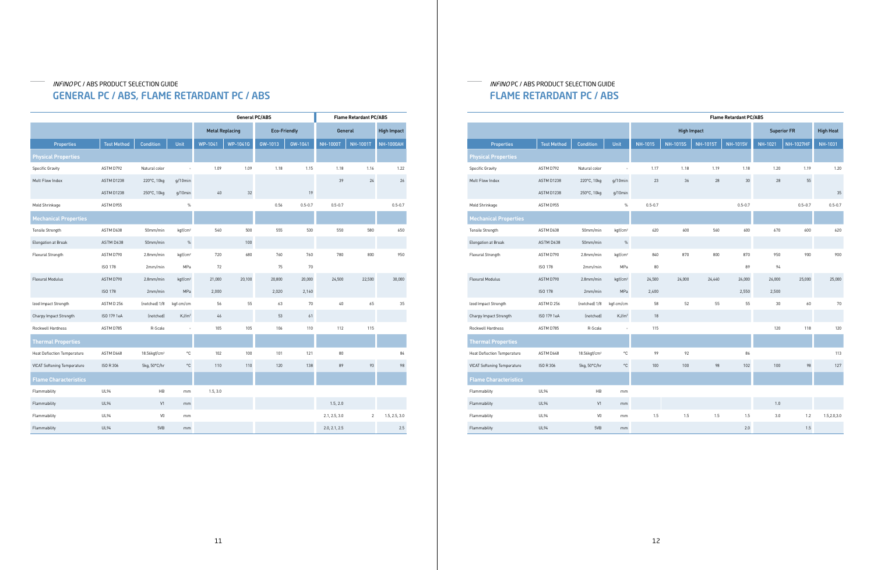## INFINO PC / ABS PRODUCT SELECTION GUIDE GENERAL PC / ABS, FLAME RETARDANT PC / ABS

# INFINO PC / ABS PRODUCT SELECTION GUIDE FLAME RETARDANT PC / ABS

|                                    |                    |                          |                     | <b>General PC/ABS</b>  |          |                     |             | <b>Flame Retardant PC/ABS</b> |                 |                    |  |
|------------------------------------|--------------------|--------------------------|---------------------|------------------------|----------|---------------------|-------------|-------------------------------|-----------------|--------------------|--|
|                                    |                    |                          |                     | <b>Metal Replacing</b> |          | <b>Eco-Friendly</b> |             | <b>General</b>                |                 | <b>High Impact</b> |  |
| <b>Properties</b>                  | <b>Test Method</b> | <b>Condition</b>         | Unit                | WP-1041                | WP-1041G | GW-1013             | GW-1041     | <b>NH-1000T</b>               | <b>NH-1001T</b> | <b>NH-1000AH</b>   |  |
| <b>Physical Properties</b>         |                    |                          |                     |                        |          |                     |             |                               |                 |                    |  |
| <b>Specific Gravity</b>            | ASTM D792          | Natural color            |                     | 1.09                   | 1.09     | 1.18                | 1.15        | 1.18                          | 1.16            | 1.22               |  |
| Melt Flow Index                    | ASTM D1238         | 220°C, 10kg              | $q/10$ min          |                        |          |                     |             | 39                            | 24              | 26                 |  |
|                                    | ASTM D1238         | 250°C, 10kg              | g/10min             | 40                     | 32       |                     | 19          |                               |                 |                    |  |
| Mold Shrinkage                     | ASTM D955          |                          | $\%$                |                        |          | 0.56                | $0.5 - 0.7$ | $0.5 - 0.7$                   |                 | $0.5 - 0.7$        |  |
| <b>Mechanical Properties</b>       |                    |                          |                     |                        |          |                     |             |                               |                 |                    |  |
| Tensile Strength                   | ASTM D638          | 50mm/min                 | kgf/cm <sup>2</sup> | 540                    | 500      | 555                 | 530         | 550                           | 580             | 650                |  |
| Elongation at Break                | ASTM D638          | 50mm/min                 | $\%$                |                        | 100      |                     |             |                               |                 |                    |  |
| Flexural Strength                  | ASTM D790          | 2.8mm/min                | kqf/cm <sup>2</sup> | 720                    | 680      | 760                 | 760         | 780                           | 800             | 950                |  |
|                                    | <b>ISO 178</b>     | 2mm/min                  | MPa                 | 72                     |          | 75                  | 70          |                               |                 |                    |  |
| Flexural Modulus                   | ASTM D790          | 2.8mm/min                | kqf/cm <sup>2</sup> | 21,000                 | 20,100   | 20,800              | 20,000      | 24,500                        | 22,500          | 30,000             |  |
|                                    | <b>ISO 178</b>     | 2mm/min                  | MPa                 | 2,000                  |          | 2,020               | 2,160       |                               |                 |                    |  |
| Izod Impact Strength               | ASTM D 256         | (notched) 1/8            | kgf-cm/cm           | 56                     | 55       | 63                  | 70          | $40\,$                        | 65              | 35                 |  |
| Charpy Impact Strength             | ISO 179 1eA        | (notched)                | KJ/m <sup>2</sup>   | 46                     |          | 53                  | 61          |                               |                 |                    |  |
| Rockwell Hardness                  | ASTM D785          | R-Scale                  | ä,                  | 105                    | 105      | 106                 | 110         | 112                           | 115             |                    |  |
| <b>Thermal Properties</b>          |                    |                          |                     |                        |          |                     |             |                               |                 |                    |  |
| <b>Heat Deflection Temperature</b> | ASTM D648          | 18.56kgf/cm <sup>2</sup> | ۰C                  | 102                    | 100      | 101                 | 121         | 80                            |                 | 84                 |  |
| <b>VICAT Softening Temperature</b> | ISO R 306          | 5kg, 50°C/hr             | $^{\circ}{\rm C}$   | 110                    | 110      | 120                 | 138         | 89                            | 93              | 98                 |  |
| <b>Flame Characteristics</b>       |                    |                          |                     |                        |          |                     |             |                               |                 |                    |  |
| Flammability                       | <b>UL94</b>        | HB                       | mm                  | 1.5, 3.0               |          |                     |             |                               |                 |                    |  |
| Flammability                       | <b>UL94</b>        | V1                       | mm                  |                        |          |                     |             | 1.5, 2.0                      |                 |                    |  |
| Flammability                       | UL94               | V <sub>0</sub>           | mm                  |                        |          |                     |             | 2.1, 2.5, 3.0                 | $\overline{c}$  | 1.5, 2.5, 3.0      |  |
| Flammability                       | <b>UL94</b>        | 5VB                      | mm                  |                        |          |                     |             | 2.0, 2.1, 2.5                 |                 | 2.5                |  |

|                                    |                    |                          |                     | <b>Flame Retardant PC/ABS</b> |                    |                 |                 |         |                    |                  |
|------------------------------------|--------------------|--------------------------|---------------------|-------------------------------|--------------------|-----------------|-----------------|---------|--------------------|------------------|
|                                    |                    |                          |                     |                               | <b>High Impact</b> |                 |                 |         | <b>Superior FR</b> | <b>High Heat</b> |
| <b>Properties</b>                  | <b>Test Method</b> | <b>Condition</b>         | Unit                | NH-1015                       | <b>NH-1015S</b>    | <b>NH-1015T</b> | <b>NH-1015V</b> | NH-1021 | <b>NH-1027HF</b>   | <b>NH-1031</b>   |
| <b>Physical Properties</b>         |                    |                          |                     |                               |                    |                 |                 |         |                    |                  |
| <b>Specific Gravity</b>            | ASTM D792          | Natural color            |                     | 1.17                          | 1.18               | 1.19            | 1.18            | 1.20    | 1.19               | 1.20             |
| Melt Flow Index                    | ASTM D1238         | 220°C, 10kg              | $q/10$ min          | 23                            | 36                 | 28              | 30              | 28      | 55                 |                  |
|                                    | ASTM D1238         | 250°C, 10kg              | $q/10$ min          |                               |                    |                 |                 |         |                    | 35               |
| Mold Shrinkage                     | ASTM D955          |                          | $\%$                | $0.5 - 0.7$                   |                    |                 | $0.5 - 0.7$     |         | $0.5 - 0.7$        | $0.5 - 0.7$      |
| Mechanical Properties              |                    |                          |                     |                               |                    |                 |                 |         |                    |                  |
| Tensile Strength                   | ASTM D638          | 50mm/min                 | kgf/cm <sup>2</sup> | 620                           | 600                | 560             | 600             | 670     | 600                | 620              |
| Elongation at Break                | ASTM D638          | 50mm/min                 | $\%$                |                               |                    |                 |                 |         |                    |                  |
| Flexural Strength                  | ASTM D790          | 2.8mm/min                | kgf/cm <sup>2</sup> | 840                           | 870                | 800             | 870             | 950     | 900                | 900              |
|                                    | ISO 178            | 2mm/min                  | MPa                 | 80                            |                    |                 | 89              | 94      |                    |                  |
| <b>Flexural Modulus</b>            | ASTM D790          | $2.8$ mm/min             | kgf/cm <sup>2</sup> | 24,500                        | 24,000             | 24,440          | 24,000          | 26,000  | 25,000             | 25,000           |
|                                    | ISO 178            | 2mm/min                  | MPa                 | 2,400                         |                    |                 | 2,550           | 2,500   |                    |                  |
| Izod Impact Strength               | ASTM D 256         | (notched) 1/8            | kgf-cm/cm           | 58                            | 52                 | 55              | 55              | 30      | 60                 | 70               |
| Charpy Impact Strength             | ISO 179 1eA        | (notched)                | KJ/m <sup>2</sup>   | 18                            |                    |                 |                 |         |                    |                  |
| Rockwell Hardness                  | ASTM D785          | R-Scale                  | ä,                  | 115                           |                    |                 |                 | 120     | 118                | 120              |
| Thermal Properties                 |                    |                          |                     |                               |                    |                 |                 |         |                    |                  |
| <b>Heat Deflection Temperature</b> | ASTM D648          | 18.56kgf/cm <sup>2</sup> | $^{\circ}$ C        | 99                            | 92                 |                 | 86              |         |                    | 113              |
| <b>VICAT Softening Temperature</b> | <b>ISO R 306</b>   | 5kg, 50°C/hr             | $^{\circ}{\rm C}$   | 100                           | 100                | 98              | 102             | 100     | 98                 | 127              |
| Flame Characteristics              |                    |                          |                     |                               |                    |                 |                 |         |                    |                  |
| Flammability                       | <b>UL94</b>        | HB                       | mm                  |                               |                    |                 |                 |         |                    |                  |
| Flammability                       | <b>UL94</b>        | V1                       | mm                  |                               |                    |                 |                 | 1.0     |                    |                  |
| Flammability                       | UL94               | $\mathsf{V}0$            | mm                  | 1.5                           | 1.5                | 1.5             | 1.5             | 3.0     | 1.2                | 1.5,2.0,3.0      |
| Flammability                       | <b>UL94</b>        | 5VB                      | mm                  |                               |                    |                 | 2.0             |         | 1.5                |                  |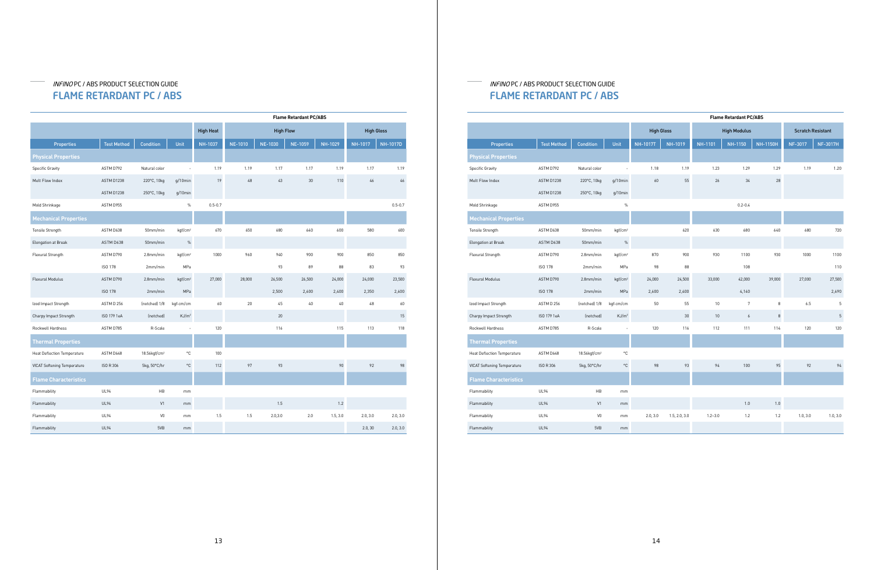# INFINO PC / ABS PRODUCT SELECTION GUIDE FLAME RETARDANT PC / ABS

# INFINO PC / ABS PRODUCT SELECTION GUIDE FLAME RETARDANT PC / ABS

|                                    |                    |                          |                     | <b>Flame Retardant PC/ABS</b> |                  |                |                |                |                   |                 |
|------------------------------------|--------------------|--------------------------|---------------------|-------------------------------|------------------|----------------|----------------|----------------|-------------------|-----------------|
|                                    |                    |                          |                     | <b>High Heat</b>              | <b>High Flow</b> |                |                |                | <b>High Gloss</b> |                 |
| <b>Properties</b>                  | <b>Test Method</b> | <b>Condition</b>         | Unit                | NH-1037                       | <b>NE-1010</b>   | <b>NE-1030</b> | <b>NE-1059</b> | <b>NH-1029</b> | <b>NH-1017</b>    | <b>NH-1017D</b> |
| <b>Physical Properties</b>         |                    |                          |                     |                               |                  |                |                |                |                   |                 |
| <b>Specific Gravity</b>            | ASTM D792          | Natural color            |                     | 1.19                          | 1.19             | 1.17           | 1.17           | 1.19           | 1.17              | 1.19            |
| Melt Flow Index                    | ASTM D1238         | 220°C, 10kg              | $q/10$ min          | 19                            | 48               | 43             | 30             | 110            | 46                | 46              |
|                                    | ASTM D1238         | 250°C, 10kg              | $q/10$ min          |                               |                  |                |                |                |                   |                 |
| Mold Shrinkage                     | ASTM D955          |                          | $\%$                | $0.5 - 0.7$                   |                  |                |                |                |                   | $0.5 - 0.7$     |
| <b>Mechanical Properties</b>       |                    |                          |                     |                               |                  |                |                |                |                   |                 |
| Tensile Strength                   | ASTM D638          | 50mm/min                 | kgf/cm <sup>2</sup> | 670                           | 650              | 680            | 640            | 600            | 580               | 600             |
| Elongation at Break                | ASTM D638          | 50mm/min                 | $\%$                |                               |                  |                |                |                |                   |                 |
| Flexural Strength                  | ASTM D790          | 2.8mm/min                | kqf/cm <sup>2</sup> | 1000                          | 960              | 940            | 900            | 900            | 850               | 850             |
|                                    | ISO 178            | 2mm/min                  | MPa                 |                               |                  | 93             | 89             | 88             | 83                | 93              |
| <b>Flexural Modulus</b>            | ASTM D790          | 2.8mm/min                | kqf/cm <sup>2</sup> | 27,000                        | 28,000           | 26,500         | 26,500         | 24,000         | 24,000            | 23,500          |
|                                    | <b>ISO 178</b>     | 2mm/min                  | MPa                 |                               |                  | 2,500          | 2,600          | 2,400          | 2,350             | 2,600           |
| Izod Impact Strength               | ASTM D 256         | (notched) 1/8            | kgf-cm/cm           | 60                            | 20               | 45             | $40\,$         | 40             | 48                | 60              |
| Charpy Impact Strength             | ISO 179 1eA        | (notched)                | KJ/m <sup>2</sup>   |                               |                  | 20             |                |                |                   | 15              |
| Rockwell Hardness                  | ASTM D785          | R-Scale                  |                     | 120                           |                  | 116            |                | 115            | 113               | 118             |
| <b>Thermal Properties</b>          |                    |                          |                     |                               |                  |                |                |                |                   |                 |
| <b>Heat Deflection Temperature</b> | ASTM D648          | 18.56kgf/cm <sup>2</sup> | °C                  | 100                           |                  |                |                |                |                   |                 |
| <b>VICAT Softening Temperature</b> | ISO R 306          | 5kg, 50°C/hr             | $^{\circ}{\rm C}$   | 112                           | 97               | 93             |                | 90             | 92                | 98              |
| <b>Flame Characteristics</b>       |                    |                          |                     |                               |                  |                |                |                |                   |                 |
| Flammability                       | <b>UL94</b>        | HB                       | mm                  |                               |                  |                |                |                |                   |                 |
| Flammability                       | <b>UL94</b>        | V1                       | mm                  |                               |                  | 1.5            |                | 1.2            |                   |                 |
| Flammability                       | <b>UL94</b>        | V <sub>0</sub>           | mm                  | 1.5                           | 1.5              | 2.0, 3.0       | 2.0            | 1.5, 3.0       | 2.0, 3.0          | 2.0, 3.0        |
| Flammability                       | <b>UL94</b>        | 5VB                      | $\mathsf{mm}$       |                               |                  |                |                |                | 2.0, 30           | 2.0, 3.0        |

|                                    |                    |                          |                     |                   |               |                | <b>Flame Retardant PC/ABS</b> |                 |                          |                 |
|------------------------------------|--------------------|--------------------------|---------------------|-------------------|---------------|----------------|-------------------------------|-----------------|--------------------------|-----------------|
|                                    |                    |                          |                     | <b>High Gloss</b> |               |                | <b>High Modulus</b>           |                 | <b>Scratch Resistant</b> |                 |
| <b>Properties</b>                  | <b>Test Method</b> | <b>Condition</b>         | Unit                | <b>NH-1017T</b>   | NH-1019       | <b>NH-1101</b> | NH-1150                       | <b>NH-1150H</b> | NF-3017                  | <b>NF-3017H</b> |
| <b>Physical Properties</b>         |                    |                          |                     |                   |               |                |                               |                 |                          |                 |
| <b>Specific Gravity</b>            | ASTM D792          | Natural color            |                     | 1.18              | 1.19          | 1.23           | 1.29                          | 1.29            | 1.19                     | 1.20            |
| Melt Flow Index                    | ASTM D1238         | 220°C, 10kg              | $q/10$ min          | 60                | 55            | 26             | 34                            | 28              |                          |                 |
|                                    | ASTM D1238         | 250°C, 10kg              | $q/10$ min          |                   |               |                |                               |                 |                          |                 |
| Mold Shrinkage                     | ASTM D955          |                          | $\frac{0}{0}$       |                   |               |                | $0.2 - 0.4$                   |                 |                          |                 |
| <b>Mechanical Properties</b>       |                    |                          |                     |                   |               |                |                               |                 |                          |                 |
| Tensile Strength                   | ASTM D638          | 50mm/min                 | kgf/cm <sup>2</sup> |                   | 620           | 630            | 680                           | 640             | 680                      | 720             |
| Elongation at Break                | ASTM D638          | 50mm/min                 | $\%$                |                   |               |                |                               |                 |                          |                 |
| Flexural Strength                  | ASTM D790          | $2.8$ mm/min             | kgf/cm <sup>2</sup> | 870               | 900           | 930            | 1100                          | 930             | 1000                     | 1100            |
|                                    | ISO 178            | 2mm/min                  | MPa                 | 98                | 88            |                | 108                           |                 |                          | 110             |
| Flexural Modulus                   | ASTM D790          | 2.8mm/min                | kgf/cm <sup>2</sup> | 24,000            | 24,500        | 33,000         | 42,000                        | 39,000          | 27,000                   | 27,500          |
|                                    | ISO 178            | 2mm/min                  | MPa                 | 2,600             | 2,400         |                | 4,140                         |                 |                          | 2,690           |
| Izod Impact Strength               | ASTM D 256         | (notched) 1/8            | kgf-cm/cm           | 50                | 55            | 10             | $\overline{7}$                | 8               | 6.5                      | 5               |
| Charpy Impact Strength             | ISO 179 1eA        | (notched)                | KJ/m <sup>2</sup>   |                   | $30\,$        | 10             | $\boldsymbol{6}$              | $\,8\,$         |                          | 5               |
| Rockwell Hardness                  | ASTM D785          | R-Scale                  |                     | 120               | 116           | 112            | 111                           | 114             | 120                      | 120             |
| <b>Thermal Properties</b>          |                    |                          |                     |                   |               |                |                               |                 |                          |                 |
| <b>Heat Deflection Temperature</b> | ASTM D648          | 18.56kgf/cm <sup>2</sup> | $^{\circ}$ C        |                   |               |                |                               |                 |                          |                 |
| <b>VICAT Softening Temperature</b> | <b>ISO R 306</b>   | 5kg, 50°C/hr             | $^{\circ}{\rm C}$   | 98                | 93            | 94             | 100                           | 95              | 92                       | 94              |
| <b>Flame Characteristics</b>       |                    |                          |                     |                   |               |                |                               |                 |                          |                 |
| Flammability                       | <b>UL94</b>        | HB                       | mm                  |                   |               |                |                               |                 |                          |                 |
| Flammability                       | <b>UL94</b>        | V1                       | $\mathsf{mm}$       |                   |               |                | 1.0                           | 1.0             |                          |                 |
| Flammability                       | <b>UL94</b>        | V <sub>0</sub>           | $\mathsf{mm}$       | 2.0, 3.0          | 1.5, 2.0, 3.0 | $1.2 - 3.0$    | 1.2                           | 1.2             | 1.0, 3.0                 | 1.0, 3.0        |
| Flammability                       | <b>UL94</b>        | 5VB                      | $\mathsf{mm}$       |                   |               |                |                               |                 |                          |                 |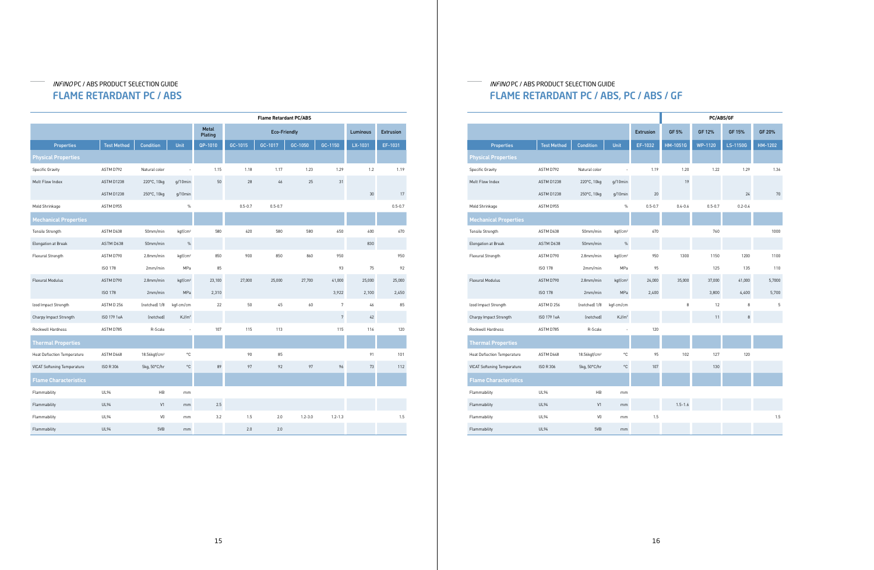# INFINO PC / ABS PRODUCT SELECTION GUIDE FLAME RETARDANT PC / ABS

# INFINO PC / ABS PRODUCT SELECTION GUIDE FLAME RETARDANT PC / ABS, PC / ABS / GF

|                                    |                    |                          |                     |                  |             |                | <b>PC/ABS/GF</b> |         |
|------------------------------------|--------------------|--------------------------|---------------------|------------------|-------------|----------------|------------------|---------|
|                                    |                    |                          |                     | <b>Extrusion</b> | GF 5%       | GF 12%         | GF 15%           | GF 20%  |
| <b>Properties</b>                  | <b>Test Method</b> | <b>Condition</b>         | Unit                | EF-1032          | HM-1051G    | <b>WP-1120</b> | LS-1150G         | HM-1202 |
| <b>Physical Properties</b>         |                    |                          |                     |                  |             |                |                  |         |
| <b>Specific Gravity</b>            | ASTM D792          | Natural color            |                     | 1.19             | 1.20        | 1.22           | 1.29             | 1.36    |
| Melt Flow Index                    | ASTM D1238         | 220°C, 10kg              | $q/10$ min          |                  | 19          |                |                  |         |
|                                    | ASTM D1238         | 250°C, 10kg              | $q/10$ min          | 20               |             |                | 24               | 70      |
| Mold Shrinkage                     | ASTM D955          |                          | $\%$                | $0.5 - 0.7$      | $0.4 - 0.6$ | $0.5 - 0.7$    | $0.2 - 0.4$      |         |
| <b>Mechanical Properties</b>       |                    |                          |                     |                  |             |                |                  |         |
| Tensile Strength                   | ASTM D638          | 50mm/min                 | kgf/cm <sup>2</sup> | 670              |             | 760            |                  | 1000    |
| Elongation at Break                | ASTM D638          | 50mm/min                 | $\%$                |                  |             |                |                  |         |
| Flexural Strength                  | ASTM D790          | $2.8$ mm/min             | kgf/cm <sup>2</sup> | 950              | 1300        | 1150           | 1200             | 1100    |
|                                    | ISO 178            | 2mm/min                  | MPa                 | 95               |             | 125            | 135              | 110     |
| Flexural Modulus                   | ASTM D790          | 2.8mm/min                | kgf/cm <sup>2</sup> | 24,000           | 35,000      | 37,000         | 41,000           | 5,7000  |
|                                    | <b>ISO 178</b>     | 2mm/min                  | MPa                 | 2,400            |             | 3,800          | 4,400            | 5,700   |
| Izod Impact Strength               | ASTM D 256         | (notched) 1/8            | kgf-cm/cm           |                  | 8           | 12             | 8                | 5       |
| Charpy Impact Strength             | ISO 179 1eA        | (notched)                | KJ/m <sup>2</sup>   |                  |             | 11             | 8                |         |
| Rockwell Hardness                  | ASTM D785          | R-Scale                  |                     | 120              |             |                |                  |         |
| <b>Thermal Properties</b>          |                    |                          |                     |                  |             |                |                  |         |
| <b>Heat Deflection Temperature</b> | ASTM D648          | 18.56kgf/cm <sup>2</sup> | °C                  | 95               | 102         | 127            | 120              |         |
| <b>VICAT Softening Temperature</b> | <b>ISO R 306</b>   | 5kg, 50°C/hr             | °C                  | 107              |             | 130            |                  |         |
| <b>Flame Characteristics</b>       |                    |                          |                     |                  |             |                |                  |         |
| Flammability                       | <b>UL94</b>        | HB                       | mm                  |                  |             |                |                  |         |
| Flammability                       | <b>UL94</b>        | V <sub>1</sub>           | mm                  |                  | $1.5 - 1.6$ |                |                  |         |
| Flammability                       | <b>UL94</b>        | V <sub>0</sub>           | mm                  | 1.5              |             |                |                  | 1.5     |
| Flammability                       | <b>UL94</b>        | 5VB                      | mm                  |                  |             |                |                  |         |
|                                    |                    |                          |                     |                  |             |                |                  |         |

|                                    |                    |                          |                     |                  |             | <b>Flame Retardant PC/ABS</b> |             |                |          |                  |
|------------------------------------|--------------------|--------------------------|---------------------|------------------|-------------|-------------------------------|-------------|----------------|----------|------------------|
|                                    |                    |                          |                     | Metal<br>Plating |             | <b>Eco-Friendly</b>           |             |                | Luminous | <b>Extrusion</b> |
| <b>Properties</b>                  | <b>Test Method</b> | <b>Condition</b>         | Unit                | QP-1010          | GC-1015     | GC-1017                       | GC-1050     | GC-1150        | LX-1031  | EF-1031          |
| <b>Physical Properties</b>         |                    |                          |                     |                  |             |                               |             |                |          |                  |
| <b>Specific Gravity</b>            | ASTM D792          | Natural color            |                     | 1.15             | 1.18        | 1.17                          | 1.23        | 1.29           | 1.2      | 1.19             |
| Melt Flow Index                    | ASTM D1238         | 220°C, 10kg              | $q/10$ min          | 50               | 28          | 46                            | 25          | 31             |          |                  |
|                                    | ASTM D1238         | 250°C, 10kg              | $q/10$ min          |                  |             |                               |             |                | 30       | 17               |
| Mold Shrinkage                     | ASTM D955          |                          | $\%$                |                  | $0.5 - 0.7$ | $0.5 - 0.7$                   |             |                |          | $0.5 - 0.7$      |
| <b>Mechanical Properties</b>       |                    |                          |                     |                  |             |                               |             |                |          |                  |
| Tensile Strength                   | ASTM D638          | 50mm/min                 | kgf/cm <sup>2</sup> | 580              | 620         | 580                           | 580         | 650            | 600      | 670              |
| Elongation at Break                | ASTM D638          | 50mm/min                 | $\%$                |                  |             |                               |             |                | 830      |                  |
| Flexural Strength                  | ASTM D790          | 2.8mm/min                | kqf/cm <sup>2</sup> | 850              | 900         | 850                           | 860         | 950            |          | 950              |
|                                    | ISO 178            | 2mm/min                  | MPa                 | 85               |             |                               |             | 93             | 75       | 92               |
| Flexural Modulus                   | ASTM D790          | 2.8mm/min                | kqf/cm <sup>2</sup> | 23,100           | 27,000      | 25,000                        | 27,700      | 41,000         | 25,000   | 25,000           |
|                                    | <b>ISO 178</b>     | 2mm/min                  | MPa                 | 2,310            |             |                               |             | 3,922          | 2,100    | 2,450            |
| Izod Impact Strength               | ASTM D 256         | (notched) 1/8            | kgf-cm/cm           | 22               | 50          | 45                            | 60          | $\overline{7}$ | 46       | 85               |
| Charpy Impact Strength             | ISO 179 1eA        | (notched)                | KJ/m <sup>2</sup>   |                  |             |                               |             | $\sqrt{7}$     | $42\,$   |                  |
| Rockwell Hardness                  | ASTM D785          | R-Scale                  |                     | 107              | 115         | 113                           |             | 115            | 116      | 120              |
| <b>Thermal Properties</b>          |                    |                          |                     |                  |             |                               |             |                |          |                  |
| <b>Heat Deflection Temperature</b> | ASTM D648          | 18.56kgf/cm <sup>2</sup> | $^{\circ}{\rm C}$   |                  | 90          | 85                            |             |                | 91       | 101              |
| <b>VICAT Softening Temperature</b> | ISO R 306          | 5kg, 50°C/hr             | $^{\circ}{\rm C}$   | 89               | 97          | 92                            | 97          | 96             | 73       | 112              |
| <b>Flame Characteristics</b>       |                    |                          |                     |                  |             |                               |             |                |          |                  |
| Flammability                       | <b>UL94</b>        | HB                       | mm                  |                  |             |                               |             |                |          |                  |
| Flammability                       | <b>UL94</b>        | V1                       | mm                  | 2.5              |             |                               |             |                |          |                  |
| Flammability                       | UL94               | V <sub>0</sub>           | mm                  | 3.2              | 1.5         | 2.0                           | $1.2 - 3.0$ | $1.2 - 1.3$    |          | 1.5              |
| Flammability                       | <b>UL94</b>        | 5VB                      | mm                  |                  | 2.0         | 2.0                           |             |                |          |                  |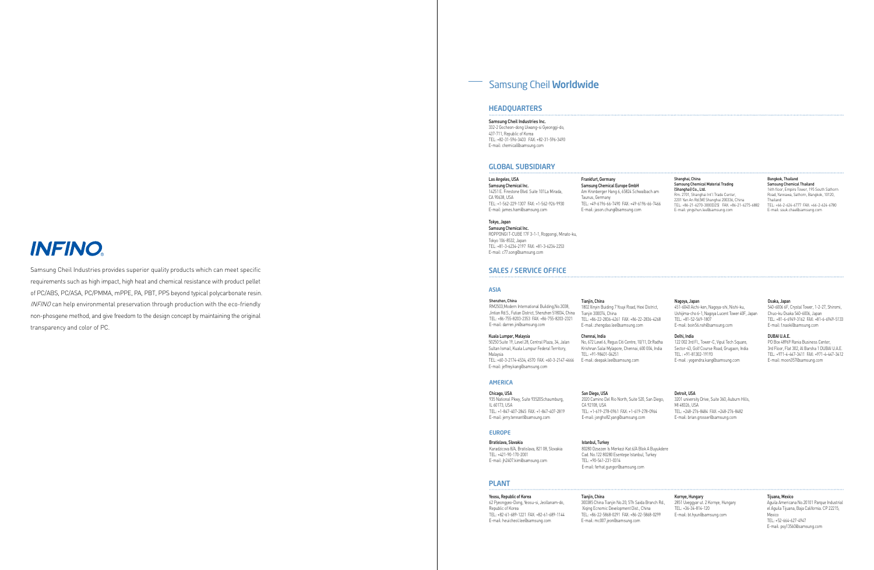# Samsung Cheil Worldwide

#### GLOBAL SUBSIDIARY

#### HEADQUARTERS

Los Angeles, USA Samsung Chemical Inc. 14251 E. Firestone Blvd. Suite 101La Mirada, CA 90638, USA TEL: +1-562-229-1307 FAX: +1-562-926-9930 E-mail: james.ham@samsung.com

Samsung Cheil Industries Inc. 332-2 Gocheon-dong Uiwang-si Gyeonggi-do, 437-711, Republic of Korea TEL: +82-31-596-3403 FAX: +82-31-596-3490 E-mail: chemical@samsung.com

> Frankfurt, Germany Samsung Chemical Europe GmbH Am Kronberger Hang 6, 65824 Schwalbach am Taunus, Germany TEL: +49-6196-66-7490 FAX: +49-6196-66-7466 E-mail: jason.chung@samsung.com

Shanghai, China Samsung Chemical Material Trading (Shanghai) Co., Ltd.

Rm. 2701, Shanghai Int'l Trade Center, 2201 Yan An Rd.(W) Shanghai 200336, China TEL: +86-21-6270-3000(325) FAX: +86-21-6275-6882 E-mail: yingshun.lee@samsung.com

#### Bangkok, Thailand

Samsung Chemical Thailand 16th floor, Empire Tower, 195 South Sathorn Road, Yannawa, Sathorn, Bangkok, 10120, **Thailand** TEL: +66-2-624-6777 FAX: +66-2-624-6780

E-mail: ssuk.chae@samsung.com

Tokyo, Japan Samsung Chemical Inc. ROPPONGI T-CUBE 17F 3-1-1, Roppongi, Minato-ku, Tokyo 106-8532, Japan TEL: +81-3-6234-2197 FAX: +81-3-6234-2253 E-mail: c77.song@samsung.com

#### SALES / SERVICE OFFICE

#### ASIA

AMERICA

#### EUROPE

Shenzhen, China RM2503,Modern International Building,No.3038, Jintian Rd.S., Futian District, Shenzhen 518034, China TEL: +86-755-8203-2353 FAX: +86-755-8203-2321 E-mail: darren.jin@samsung.com

Chicago, USA 935 National Pkwy, Suite 93520Schaumburg, IL 60173, USA TEL: +1-847-407-2845 FAX: +1-847-407-2819 E-mail: jerry.tennant@samsung.com

Bratislava, Slovakia Karadzicova 8/A, Bratislava, 821 08, Slovakia TEL: +421-90-170-2001 E-mail: jh2407.kim@samsung.com

#### Kuala Lumper, Malaysia

Tianiin, China 300385 China Tianjin No.20, 5Th Saida Branch Rd., Xiqing Ecnomic Development Dist., China TEL: +86-22-5868-0291 FAX: +86-22-5868-0299 E-mail: mc007.jeon@samsung.com

Tianjin, China

#### 1802 Xinyin Buiding 7 Youyi Road, Hexi District,

Tianjin 300074, China

E-mail: zhengdao.lee@samsung.com

## San Diego, USA

50250 Suite 19, Level 28, Central Plaza, 34, Jalan Sultan Ismail, Kuala Lumpur Federal Territory, Malaysia TEL: +60-3-2174-4534, 4570 FAX: +60-3-2147-4666 E-mail: jeffrey.kang@samsung.com E-mail: deepak.lee@samsung.com

CA 92108, USA

TEL: +1-619-278-0961 FAX: +1-619-278-0964 E-mail: jongho82.yang@samsung.com

Istanbul, Turkey 80280 Ozsezen Is Merkezi Kat:6/A Blok A Buyukdere Cad. No.122 80280 Esentepe Istanbul, Turkey TEL: +90-541-231-0314

TEL: +86-22-2836-4261 FAX: +86-22-2836-4268 Nagoya, Japan 451-6040 Aichi-ken, Nagoya-shi, Nishi-ku, Ushijima-cho 6-1, Nagoya Lucent Tower 40F, Japan TEL: +81-52-569-1807 E-mail: boin56.noh@samsung.com

E-mail: ferhat.gungor@samsung.com

Chennai, India

2020 Camino Del Rio North, Suite 520, San Diego, 3201 university Drive, Suite 360, Auburn Hills, MI 48326, USA TEL: +248-276-8484 FAX: +248-276-8482 E-mail: brian.grosser@samsung.com

TEL: +91-98401-04251

No, 672 Level 6, Regus Citi Centre, 10/11, Dr.Radha Krishnan Salai Mylapore, Chennai, 600 004, India 122 002 3rd Fl., Tower-C, Vipul Tech Square, Sector-43, Golf Course Road, Grugaon, India TEL : +91-81302-19193 E-mail : yogendra.kang@samsung.com

#### Detroit, USA

#### Delhi, India

#### Osaka, Japan

540-6006 6F, Crystal Tower, 1-2-27, Shiromi, Chuo-ku Osaka 540-6006, Japan TEL: +81-6-6949-3162 FAX: +81-6-6949-5133 E-mail: f.naoki@samsung.com

#### DUBAI U.A.E.

PO Box 48969 Rania Business Center, 3rd Floor, Flat 302, Al Barsha 1 DUBAI U.A.E. TEL: +971-4-447-3411 FAX: +971-4-447-3412 E-mail: moon357@samsung.com

#### PLANT

#### Yeosu, Republic of Korea

62 Pyeongyeo-Dong, Yeosu-si, Jeollanam-do, Republic of Korea TEL: +82-61-689-1221 FAX: +82-61-689-1144 E-mail: heuicheol.lee@samsung.com

Kornye, Hungary 2851 Uveggyar ut. 2 Kornye, Hungary TEL: +36-34-814-120

E-mail: bt.hyun@samsung.com

#### Tijuana, Mexico

Aguila Americana No.20101 Parque Industrial el Aguila Tijuana, Baja California. CP 22215, Mexico TEL: +52-664-627-4947 E-mail: psy13560@samsung.com

# **INFINO**

Samsung Cheil Industries provides superior quality products which can meet specific requirements such as high impact, high heat and chemical resistance with product pellet of PC/ABS, PC/ASA, PC/PMMA, mPPE, PA, PBT, PPS beyond typical polycarbonate resin. INFINO can help environmental preservation through production with the eco-friendly non-phosgene method, and give freedom to the design concept by maintaining the original transparency and color of PC.